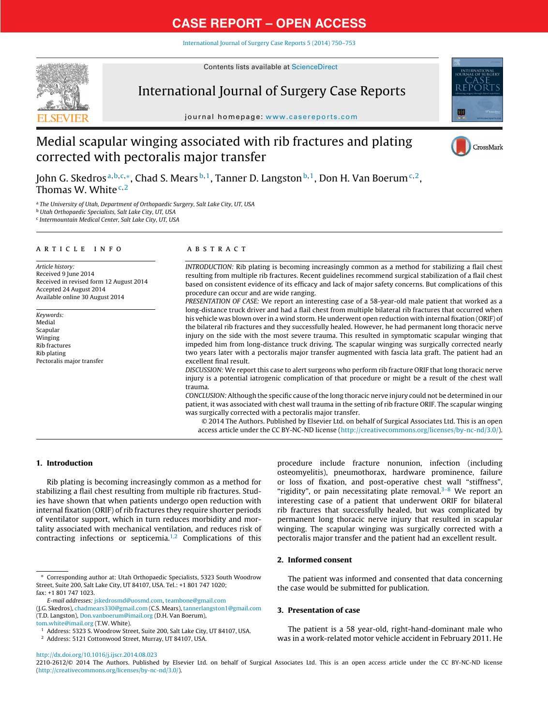# **CASE REPORT – OPEN ACCESS**

[International](dx.doi.org/10.1016/j.ijscr.2014.08.023) Journal of Surgery Case Reports 5 (2014) 750–753



Contents lists available at [ScienceDirect](http://www.sciencedirect.com/science/journal/22102612)

# International Journal of Surgery Case Reports



journal homepage: [www.casereports.com](http://www.casereports.com)

# Medial scapular winging associated with rib fractures and plating corrected with pectoralis major transfer



John G. Skedros<sup>a,b,c,\*</sup>, Chad S. Mears<sup>b,1</sup>, Tanner D. Langston<sup>b,1</sup>, Don H. Van Boerum<sup>c,2</sup>, Thomas W. White<sup>c,2</sup>

<sup>a</sup> The University of Utah, Department of Orthopaedic Surgery, Salt Lake City, UT, USA

**b** Utah Orthopaedic Specialists, Salt Lake City, UT, USA

<sup>c</sup> Intermountain Medical Center, Salt Lake City, UT, USA

### a r t i c l e i n f o

Article history: Received 9 June 2014 Received in revised form 12 August 2014 Accepted 24 August 2014 Available online 30 August 2014

Keywords: Medial Scapular Winging Rib fractures Rib plating Pectoralis major transfer

### A B S T R A C T

INTRODUCTION: Rib plating is becoming increasingly common as a method for stabilizing a flail chest resulting from multiple rib fractures. Recent guidelines recommend surgical stabilization of a flail chest based on consistent evidence of its efficacy and lack of major safety concerns. But complications of this procedure can occur and are wide ranging.

PRESENTATION OF CASE: We report an interesting case of a 58-year-old male patient that worked as a long-distance truck driver and had a flail chest from multiple bilateral rib fractures that occurred when his vehicle was blown over in a wind storm. He underwent open reduction with internal fixation (ORIF) of the bilateral rib fractures and they successfully healed. However, he had permanent long thoracic nerve injury on the side with the most severe trauma. This resulted in symptomatic scapular winging that impeded him from long-distance truck driving. The scapular winging was surgically corrected nearly two years later with a pectoralis major transfer augmented with fascia lata graft. The patient had an excellent final result.

DISCUSSION: We report this case to alert surgeons who perform rib fracture ORIF that long thoracic nerve injury is a potential iatrogenic complication of that procedure or might be a result of the chest wall trauma.

CONCLUSION: Although the specific cause ofthe long thoracic nerve injury could not be determined in our patient, it was associated with chest wall trauma in the setting of rib fracture ORIF. The scapular winging was surgically corrected with a pectoralis major transfer.

© 2014 The Authors. Published by Elsevier Ltd. on behalf of Surgical Associates Ltd. This is an open access article under the CC BY-NC-ND license [\(http://creativecommons.org/licenses/by-nc-nd/3.0/](http://creativecommons.org/licenses/by-nc-nd/3.0/)).

### **1. Introduction**

Rib plating is becoming increasingly common as a method for stabilizing a flail chest resulting from multiple rib fractures. Studies have shown that when patients undergo open reduction with internal fixation (ORIF) of rib fractures they require shorter periods of ventilator support, which in turn reduces morbidity and mortality associated with mechanical ventilation, and reduces risk of contracting infections or septicemia.<sup>1,2</sup> Complications of this

procedure include fracture nonunion, infection (including osteomyelitis), pneumothorax, hardware prominence, failure or loss of fixation, and post-operative chest wall "stiffness", "rigidity", or pain necessitating plate removal. $3-8$  We report an interesting case of a patient that underwent ORIF for bilateral rib fractures that successfully healed, but was complicated by permanent long thoracic nerve injury that resulted in scapular winging. The scapular winging was surgically corrected with a pectoralis major transfer and the patient had an excellent result.

### **2. Informed consent**

The patient was informed and consented that data concerning the case would be submitted for publication.

#### **3. Presentation of case**

The patient is a 58 year-old, right-hand-dominant male who was in a work-related motor vehicle accident in February 2011. He

[http://dx.doi.org/10.1016/j.ijscr.2014.08.023](dx.doi.org/10.1016/j.ijscr.2014.08.023)

2210-2612/© 2014 The Authors. Published by Elsevier Ltd. on behalf of Surgical Associates Ltd. This is an open access article under the CC BY-NC-ND license [\(http://creativecommons.org/licenses/by-nc-nd/3.0/\)](http://creativecommons.org/licenses/by-nc-nd/3.0/).

<sup>∗</sup> Corresponding author at: Utah Orthopaedic Specialists, 5323 South Woodrow Street, Suite 200, Salt Lake City, UT 84107, USA. Tel.: +1 801 747 1020; fax: +1 801 747 1023.

E-mail addresses: [jskedrosmd@uosmd.com](mailto:jskedrosmd@uosmd.com), [teambone@gmail.com](mailto:teambone@gmail.com) (J.G. Skedros), [chadmears330@gmail.com](mailto:chadmears330@gmail.com) (C.S. Mears), [tannerlangston1@gmail.com](mailto:tannerlangston1@gmail.com) (T.D. Langston), [Don.vanboerum@imail.org](mailto:Don.vanboerum@imail.org) (D.H. Van Boerum),

[tom.white@imail.org](mailto:tom.white@imail.org) (T.W. White).

<sup>&</sup>lt;sup>1</sup> Address: 5323 S. Woodrow Street, Suite 200, Salt Lake City, UT 84107, USA.

<sup>2</sup> Address: 5121 Cottonwood Street, Murray, UT 84107, USA.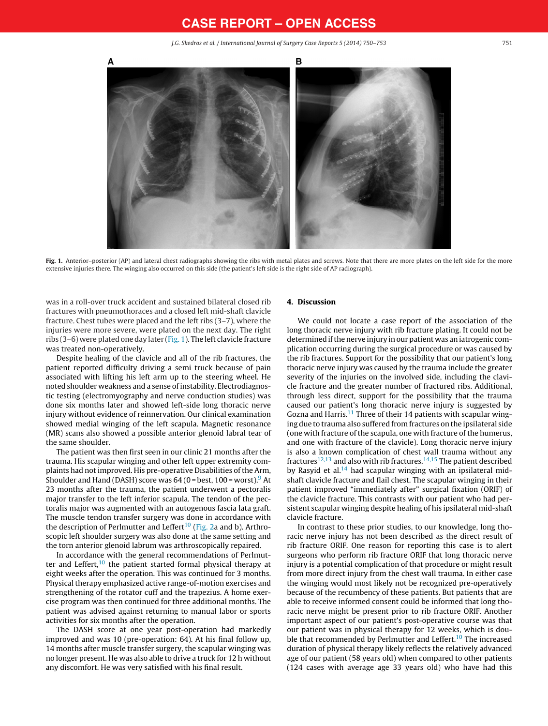J.G. Skedros et al. / International Journal of Surgery Case Reports 5 (2014) 750–753 751



**Fig. 1.** Anterior–posterior (AP) and lateral chest radiographs showing the ribs with metal plates and screws. Note that there are more plates on the left side for the more extensive injuries there. The winging also occurred on this side (the patient's left side is the right side of AP radiograph).

was in a roll-over truck accident and sustained bilateral closed rib fractures with pneumothoraces and a closed left mid-shaft clavicle fracture. Chest tubes were placed and the left ribs (3–7), where the injuries were more severe, were plated on the next day. The right ribs (3–6) were plated one day later (Fig. 1). The left clavicle fracture was treated non-operatively.

Despite healing of the clavicle and all of the rib fractures, the patient reported difficulty driving a semi truck because of pain associated with lifting his left arm up to the steering wheel. He noted shoulder weakness and a sense of instability. Electrodiagnostic testing (electromyography and nerve conduction studies) was done six months later and showed left-side long thoracic nerve injury without evidence of reinnervation. Our clinical examination showed medial winging of the left scapula. Magnetic resonance (MR) scans also showed a possible anterior glenoid labral tear of the same shoulder.

The patient was then first seen in our clinic 21 months after the trauma. His scapular winging and other left upper extremity complaints had not improved. His pre-operative Disabilities of the Arm, Shoulder and Hand (DASH) score was  $64$  (0 = best, 100 = worst).<sup>[9](#page-2-0)</sup> At 23 months after the trauma, the patient underwent a pectoralis major transfer to the left inferior scapula. The tendon of the pectoralis major was augmented with an autogenous fascia lata graft. The muscle tendon transfer surgery was done in accordance with the description of Perlmutter and Leffert<sup>[10](#page-2-0)</sup> ([Fig.](#page-2-0) 2a and b). Arthroscopic left shoulder surgery was also done at the same setting and the torn anterior glenoid labrum was arthroscopically repaired.

In accordance with the general recommendations of Perlmutter and Leffert, $10$  the patient started formal physical therapy at eight weeks after the operation. This was continued for 3 months. Physical therapy emphasized active range-of-motion exercises and strengthening of the rotator cuff and the trapezius. A home exercise program was then continued for three additional months. The patient was advised against returning to manual labor or sports activities for six months after the operation.

The DASH score at one year post-operation had markedly improved and was 10 (pre-operation: 64). At his final follow up, 14 months after muscle transfer surgery, the scapular winging was no longer present. He was also able to drive a truck for 12 h without any discomfort. He was very satisfied with his final result.

### **4. Discussion**

We could not locate a case report of the association of the long thoracic nerve injury with rib fracture plating. It could not be determined if the nerve injury in our patient was an iatrogenic complication occurring during the surgical procedure or was caused by the rib fractures. Support for the possibility that our patient's long thoracic nerve injury was caused by the trauma include the greater severity of the injuries on the involved side, including the clavicle fracture and the greater number of fractured ribs. Additional, through less direct, support for the possibility that the trauma caused our patient's long thoracic nerve injury is suggested by Gozna and Harris.<sup>[11](#page-2-0)</sup> Three of their 14 patients with scapular winging due to trauma also suffered from fractures on the ipsilateral side (one with fracture of the scapula, one with fracture of the humerus, and one with fracture of the clavicle). Long thoracic nerve injury is also a known complication of chest wall trauma without any fractures<sup>12,13</sup> and also with rib fractures.<sup>14,15</sup> The patient described by Rasyid et al. $14$  had scapular winging with an ipsilateral midshaft clavicle fracture and flail chest. The scapular winging in their patient improved "immediately after" surgical fixation (ORIF) of the clavicle fracture. This contrasts with our patient who had persistent scapular winging despite healing of his ipsilateral mid-shaft clavicle fracture.

In contrast to these prior studies, to our knowledge, long thoracic nerve injury has not been described as the direct result of rib fracture ORIF. One reason for reporting this case is to alert surgeons who perform rib fracture ORIF that long thoracic nerve injury is a potential complication of that procedure or might result from more direct injury from the chest wall trauma. In either case the winging would most likely not be recognized pre-operatively because of the recumbency of these patients. But patients that are able to receive informed consent could be informed that long thoracic nerve might be present prior to rib fracture ORIF. Another important aspect of our patient's post-operative course was that our patient was in physical therapy for 12 weeks, which is dou-ble that recommended by Perlmutter and Leffert.<sup>[10](#page-2-0)</sup> The increased duration of physical therapy likely reflects the relatively advanced age of our patient (58 years old) when compared to other patients (124 cases with average age 33 years old) who have had this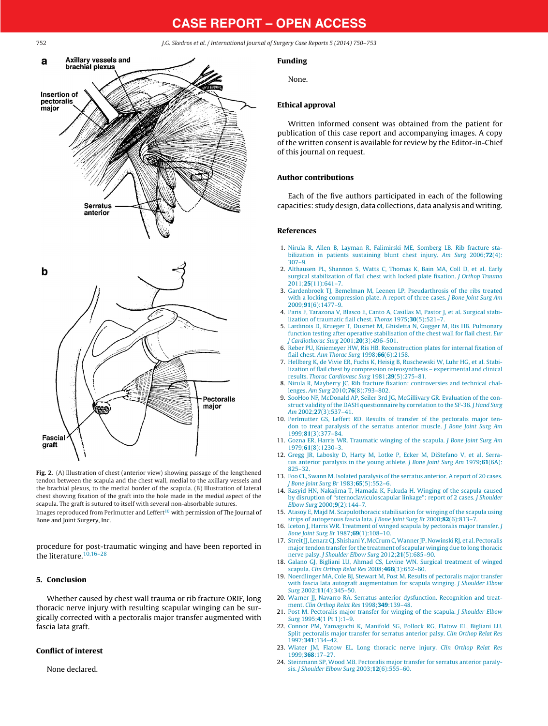## **CASE REPORT – OPEN ACCESS**

<span id="page-2-0"></span>752 J.G. Skedros et al. / International Journal of Surgery Case Reports 5 (2014) 750–753





**Fig. 2.** (A) Illustration of chest (anterior view) showing passage of the lengthened tendon between the scapula and the chest wall, medial to the axillary vessels and the brachial plexus, to the medial border of the scapula. (B) Illustration of lateral chest showing fixation of the graft into the hole made in the medial aspect of the scapula. The graft is sutured to itself with several non-absorbable sutures.

Images reproduced from Perlmutter and Leffert<sup>10</sup> with permission of The Journal of Bone and Joint Surgery, Inc.

procedure for post-traumatic winging and have been reported in the literature.10,16–28

### **5. Conclusion**

Whether caused by chest wall trauma or rib fracture ORIF, long thoracic nerve injury with resulting scapular winging can be surgically corrected with a pectoralis major transfer augmented with fascia lata graft.

### **Conflict of interest**

None declared.

#### **Funding**

None.

### **Ethical approval**

Written informed consent was obtained from the patient for publication of this case report and accompanying images. A copy of the written consent is available for review by the Editor-in-Chief of this journal on request.

### **Author contributions**

Each of the five authors participated in each of the following capacities: study design, data collections, data analysis and writing.

#### **References**

- 1. [Nirula](http://refhub.elsevier.com/S2210-2612(14)00205-3/sbref0005) [R,](http://refhub.elsevier.com/S2210-2612(14)00205-3/sbref0005) [Allen](http://refhub.elsevier.com/S2210-2612(14)00205-3/sbref0005) [B,](http://refhub.elsevier.com/S2210-2612(14)00205-3/sbref0005) [Layman](http://refhub.elsevier.com/S2210-2612(14)00205-3/sbref0005) [R,](http://refhub.elsevier.com/S2210-2612(14)00205-3/sbref0005) [Falimirski](http://refhub.elsevier.com/S2210-2612(14)00205-3/sbref0005) [ME,](http://refhub.elsevier.com/S2210-2612(14)00205-3/sbref0005) [Somberg](http://refhub.elsevier.com/S2210-2612(14)00205-3/sbref0005) [LB.](http://refhub.elsevier.com/S2210-2612(14)00205-3/sbref0005) [Rib](http://refhub.elsevier.com/S2210-2612(14)00205-3/sbref0005) [fracture](http://refhub.elsevier.com/S2210-2612(14)00205-3/sbref0005) [sta](http://refhub.elsevier.com/S2210-2612(14)00205-3/sbref0005)[bilization](http://refhub.elsevier.com/S2210-2612(14)00205-3/sbref0005) [in](http://refhub.elsevier.com/S2210-2612(14)00205-3/sbref0005) [patients](http://refhub.elsevier.com/S2210-2612(14)00205-3/sbref0005) [sustaining](http://refhub.elsevier.com/S2210-2612(14)00205-3/sbref0005) [blunt](http://refhub.elsevier.com/S2210-2612(14)00205-3/sbref0005) [chest](http://refhub.elsevier.com/S2210-2612(14)00205-3/sbref0005) [injury.](http://refhub.elsevier.com/S2210-2612(14)00205-3/sbref0005) [Am](http://refhub.elsevier.com/S2210-2612(14)00205-3/sbref0005) [Surg](http://refhub.elsevier.com/S2210-2612(14)00205-3/sbref0005) [2006;](http://refhub.elsevier.com/S2210-2612(14)00205-3/sbref0005)**[72](http://refhub.elsevier.com/S2210-2612(14)00205-3/sbref0005)**[\(4\):](http://refhub.elsevier.com/S2210-2612(14)00205-3/sbref0005) [307–9.](http://refhub.elsevier.com/S2210-2612(14)00205-3/sbref0005)
- 2. [Althausen](http://refhub.elsevier.com/S2210-2612(14)00205-3/sbref0010) [PL,](http://refhub.elsevier.com/S2210-2612(14)00205-3/sbref0010) [Shannon](http://refhub.elsevier.com/S2210-2612(14)00205-3/sbref0010) [S,](http://refhub.elsevier.com/S2210-2612(14)00205-3/sbref0010) [Watts](http://refhub.elsevier.com/S2210-2612(14)00205-3/sbref0010) [C,](http://refhub.elsevier.com/S2210-2612(14)00205-3/sbref0010) [Thomas](http://refhub.elsevier.com/S2210-2612(14)00205-3/sbref0010) [K,](http://refhub.elsevier.com/S2210-2612(14)00205-3/sbref0010) [Bain](http://refhub.elsevier.com/S2210-2612(14)00205-3/sbref0010) [MA,](http://refhub.elsevier.com/S2210-2612(14)00205-3/sbref0010) [Coll](http://refhub.elsevier.com/S2210-2612(14)00205-3/sbref0010) [D,](http://refhub.elsevier.com/S2210-2612(14)00205-3/sbref0010) [et](http://refhub.elsevier.com/S2210-2612(14)00205-3/sbref0010) [al.](http://refhub.elsevier.com/S2210-2612(14)00205-3/sbref0010) [Early](http://refhub.elsevier.com/S2210-2612(14)00205-3/sbref0010) [surgical](http://refhub.elsevier.com/S2210-2612(14)00205-3/sbref0010) [stabilization](http://refhub.elsevier.com/S2210-2612(14)00205-3/sbref0010) [of](http://refhub.elsevier.com/S2210-2612(14)00205-3/sbref0010) [flail](http://refhub.elsevier.com/S2210-2612(14)00205-3/sbref0010) [chest](http://refhub.elsevier.com/S2210-2612(14)00205-3/sbref0010) [with](http://refhub.elsevier.com/S2210-2612(14)00205-3/sbref0010) [locked](http://refhub.elsevier.com/S2210-2612(14)00205-3/sbref0010) [plate](http://refhub.elsevier.com/S2210-2612(14)00205-3/sbref0010) [fixation.](http://refhub.elsevier.com/S2210-2612(14)00205-3/sbref0010) [J](http://refhub.elsevier.com/S2210-2612(14)00205-3/sbref0010) [Orthop](http://refhub.elsevier.com/S2210-2612(14)00205-3/sbref0010) [Trauma](http://refhub.elsevier.com/S2210-2612(14)00205-3/sbref0010) [2011;](http://refhub.elsevier.com/S2210-2612(14)00205-3/sbref0010)**[25](http://refhub.elsevier.com/S2210-2612(14)00205-3/sbref0010)**[\(11\):641](http://refhub.elsevier.com/S2210-2612(14)00205-3/sbref0010)–[7.](http://refhub.elsevier.com/S2210-2612(14)00205-3/sbref0010)
- 3. [Gardenbroek](http://refhub.elsevier.com/S2210-2612(14)00205-3/sbref0015) [TJ,](http://refhub.elsevier.com/S2210-2612(14)00205-3/sbref0015) [Bemelman](http://refhub.elsevier.com/S2210-2612(14)00205-3/sbref0015) [M,](http://refhub.elsevier.com/S2210-2612(14)00205-3/sbref0015) [Leenen](http://refhub.elsevier.com/S2210-2612(14)00205-3/sbref0015) [LP.](http://refhub.elsevier.com/S2210-2612(14)00205-3/sbref0015) [Pseudarthrosis](http://refhub.elsevier.com/S2210-2612(14)00205-3/sbref0015) [of](http://refhub.elsevier.com/S2210-2612(14)00205-3/sbref0015) [the](http://refhub.elsevier.com/S2210-2612(14)00205-3/sbref0015) [ribs](http://refhub.elsevier.com/S2210-2612(14)00205-3/sbref0015) [treated](http://refhub.elsevier.com/S2210-2612(14)00205-3/sbref0015) [with](http://refhub.elsevier.com/S2210-2612(14)00205-3/sbref0015) [a](http://refhub.elsevier.com/S2210-2612(14)00205-3/sbref0015) [locking](http://refhub.elsevier.com/S2210-2612(14)00205-3/sbref0015) [compression](http://refhub.elsevier.com/S2210-2612(14)00205-3/sbref0015) [plate.](http://refhub.elsevier.com/S2210-2612(14)00205-3/sbref0015) [A](http://refhub.elsevier.com/S2210-2612(14)00205-3/sbref0015) [report](http://refhub.elsevier.com/S2210-2612(14)00205-3/sbref0015) [of](http://refhub.elsevier.com/S2210-2612(14)00205-3/sbref0015) [three](http://refhub.elsevier.com/S2210-2612(14)00205-3/sbref0015) [cases.](http://refhub.elsevier.com/S2210-2612(14)00205-3/sbref0015) [J](http://refhub.elsevier.com/S2210-2612(14)00205-3/sbref0015) [Bone](http://refhub.elsevier.com/S2210-2612(14)00205-3/sbref0015) [Joint](http://refhub.elsevier.com/S2210-2612(14)00205-3/sbref0015) [Surg](http://refhub.elsevier.com/S2210-2612(14)00205-3/sbref0015) [Am](http://refhub.elsevier.com/S2210-2612(14)00205-3/sbref0015) [2009;](http://refhub.elsevier.com/S2210-2612(14)00205-3/sbref0015)**[91](http://refhub.elsevier.com/S2210-2612(14)00205-3/sbref0015)**[\(6\):1477–9.](http://refhub.elsevier.com/S2210-2612(14)00205-3/sbref0015)
- 4. [Paris](http://refhub.elsevier.com/S2210-2612(14)00205-3/sbref0020) [F,](http://refhub.elsevier.com/S2210-2612(14)00205-3/sbref0020) [Tarazona](http://refhub.elsevier.com/S2210-2612(14)00205-3/sbref0020) [V,](http://refhub.elsevier.com/S2210-2612(14)00205-3/sbref0020) [Blasco](http://refhub.elsevier.com/S2210-2612(14)00205-3/sbref0020) [E,](http://refhub.elsevier.com/S2210-2612(14)00205-3/sbref0020) [Canto](http://refhub.elsevier.com/S2210-2612(14)00205-3/sbref0020) [A,](http://refhub.elsevier.com/S2210-2612(14)00205-3/sbref0020) [Casillas](http://refhub.elsevier.com/S2210-2612(14)00205-3/sbref0020) [M,](http://refhub.elsevier.com/S2210-2612(14)00205-3/sbref0020) [Pastor](http://refhub.elsevier.com/S2210-2612(14)00205-3/sbref0020) [J,](http://refhub.elsevier.com/S2210-2612(14)00205-3/sbref0020) [et](http://refhub.elsevier.com/S2210-2612(14)00205-3/sbref0020) [al.](http://refhub.elsevier.com/S2210-2612(14)00205-3/sbref0020) [Surgical](http://refhub.elsevier.com/S2210-2612(14)00205-3/sbref0020) [stabi](http://refhub.elsevier.com/S2210-2612(14)00205-3/sbref0020)[lization](http://refhub.elsevier.com/S2210-2612(14)00205-3/sbref0020) [of](http://refhub.elsevier.com/S2210-2612(14)00205-3/sbref0020) [traumatic](http://refhub.elsevier.com/S2210-2612(14)00205-3/sbref0020) [flail](http://refhub.elsevier.com/S2210-2612(14)00205-3/sbref0020) [chest.](http://refhub.elsevier.com/S2210-2612(14)00205-3/sbref0020) [Thorax](http://refhub.elsevier.com/S2210-2612(14)00205-3/sbref0020) [1975;](http://refhub.elsevier.com/S2210-2612(14)00205-3/sbref0020)**[30](http://refhub.elsevier.com/S2210-2612(14)00205-3/sbref0020)**[\(5\):521](http://refhub.elsevier.com/S2210-2612(14)00205-3/sbref0020)–[7.](http://refhub.elsevier.com/S2210-2612(14)00205-3/sbref0020)
- 5. [Lardinois](http://refhub.elsevier.com/S2210-2612(14)00205-3/sbref0025) [D,](http://refhub.elsevier.com/S2210-2612(14)00205-3/sbref0025) [Krueger](http://refhub.elsevier.com/S2210-2612(14)00205-3/sbref0025) [T,](http://refhub.elsevier.com/S2210-2612(14)00205-3/sbref0025) [Dusmet](http://refhub.elsevier.com/S2210-2612(14)00205-3/sbref0025) [M,](http://refhub.elsevier.com/S2210-2612(14)00205-3/sbref0025) [Ghisletta](http://refhub.elsevier.com/S2210-2612(14)00205-3/sbref0025) [N,](http://refhub.elsevier.com/S2210-2612(14)00205-3/sbref0025) [Gugger](http://refhub.elsevier.com/S2210-2612(14)00205-3/sbref0025) [M,](http://refhub.elsevier.com/S2210-2612(14)00205-3/sbref0025) [Ris](http://refhub.elsevier.com/S2210-2612(14)00205-3/sbref0025) [HB.](http://refhub.elsevier.com/S2210-2612(14)00205-3/sbref0025) [Pulmonary](http://refhub.elsevier.com/S2210-2612(14)00205-3/sbref0025) [function](http://refhub.elsevier.com/S2210-2612(14)00205-3/sbref0025) [testing](http://refhub.elsevier.com/S2210-2612(14)00205-3/sbref0025) [after](http://refhub.elsevier.com/S2210-2612(14)00205-3/sbref0025) [operative](http://refhub.elsevier.com/S2210-2612(14)00205-3/sbref0025) [stabilisation](http://refhub.elsevier.com/S2210-2612(14)00205-3/sbref0025) [of](http://refhub.elsevier.com/S2210-2612(14)00205-3/sbref0025) [the](http://refhub.elsevier.com/S2210-2612(14)00205-3/sbref0025) [chest](http://refhub.elsevier.com/S2210-2612(14)00205-3/sbref0025) [wall](http://refhub.elsevier.com/S2210-2612(14)00205-3/sbref0025) [for](http://refhub.elsevier.com/S2210-2612(14)00205-3/sbref0025) [flail](http://refhub.elsevier.com/S2210-2612(14)00205-3/sbref0025) [chest.](http://refhub.elsevier.com/S2210-2612(14)00205-3/sbref0025) [Eur](http://refhub.elsevier.com/S2210-2612(14)00205-3/sbref0025) [J](http://refhub.elsevier.com/S2210-2612(14)00205-3/sbref0025) [Cardiothorac](http://refhub.elsevier.com/S2210-2612(14)00205-3/sbref0025) [Surg](http://refhub.elsevier.com/S2210-2612(14)00205-3/sbref0025) [2001;](http://refhub.elsevier.com/S2210-2612(14)00205-3/sbref0025)**[20](http://refhub.elsevier.com/S2210-2612(14)00205-3/sbref0025)**[\(3\):496](http://refhub.elsevier.com/S2210-2612(14)00205-3/sbref0025)–[501.](http://refhub.elsevier.com/S2210-2612(14)00205-3/sbref0025)
- 6. [Reber](http://refhub.elsevier.com/S2210-2612(14)00205-3/sbref0030) [PU,](http://refhub.elsevier.com/S2210-2612(14)00205-3/sbref0030) [Kniemeyer](http://refhub.elsevier.com/S2210-2612(14)00205-3/sbref0030) [HW,](http://refhub.elsevier.com/S2210-2612(14)00205-3/sbref0030) [Ris](http://refhub.elsevier.com/S2210-2612(14)00205-3/sbref0030) [HB.](http://refhub.elsevier.com/S2210-2612(14)00205-3/sbref0030) [Reconstruction](http://refhub.elsevier.com/S2210-2612(14)00205-3/sbref0030) [plates](http://refhub.elsevier.com/S2210-2612(14)00205-3/sbref0030) [for](http://refhub.elsevier.com/S2210-2612(14)00205-3/sbref0030) [internal](http://refhub.elsevier.com/S2210-2612(14)00205-3/sbref0030) [fixation](http://refhub.elsevier.com/S2210-2612(14)00205-3/sbref0030) [of](http://refhub.elsevier.com/S2210-2612(14)00205-3/sbref0030) [flail](http://refhub.elsevier.com/S2210-2612(14)00205-3/sbref0030) [chest.](http://refhub.elsevier.com/S2210-2612(14)00205-3/sbref0030) [Ann](http://refhub.elsevier.com/S2210-2612(14)00205-3/sbref0030) [Thorac](http://refhub.elsevier.com/S2210-2612(14)00205-3/sbref0030) [Surg](http://refhub.elsevier.com/S2210-2612(14)00205-3/sbref0030) [1998;](http://refhub.elsevier.com/S2210-2612(14)00205-3/sbref0030)**[66](http://refhub.elsevier.com/S2210-2612(14)00205-3/sbref0030)**[\(6\):2158.](http://refhub.elsevier.com/S2210-2612(14)00205-3/sbref0030)
- 7. [Hellberg](http://refhub.elsevier.com/S2210-2612(14)00205-3/sbref0035) [K,](http://refhub.elsevier.com/S2210-2612(14)00205-3/sbref0035) [de](http://refhub.elsevier.com/S2210-2612(14)00205-3/sbref0035) [Vivie](http://refhub.elsevier.com/S2210-2612(14)00205-3/sbref0035) [ER,](http://refhub.elsevier.com/S2210-2612(14)00205-3/sbref0035) [Fuchs](http://refhub.elsevier.com/S2210-2612(14)00205-3/sbref0035) [K,](http://refhub.elsevier.com/S2210-2612(14)00205-3/sbref0035) [Heisig](http://refhub.elsevier.com/S2210-2612(14)00205-3/sbref0035) [B,](http://refhub.elsevier.com/S2210-2612(14)00205-3/sbref0035) [Ruschewski](http://refhub.elsevier.com/S2210-2612(14)00205-3/sbref0035) [W,](http://refhub.elsevier.com/S2210-2612(14)00205-3/sbref0035) [Luhr](http://refhub.elsevier.com/S2210-2612(14)00205-3/sbref0035) [HG,](http://refhub.elsevier.com/S2210-2612(14)00205-3/sbref0035) [et](http://refhub.elsevier.com/S2210-2612(14)00205-3/sbref0035) [al.](http://refhub.elsevier.com/S2210-2612(14)00205-3/sbref0035) [Stabi](http://refhub.elsevier.com/S2210-2612(14)00205-3/sbref0035)[lization](http://refhub.elsevier.com/S2210-2612(14)00205-3/sbref0035) [of](http://refhub.elsevier.com/S2210-2612(14)00205-3/sbref0035) [flail](http://refhub.elsevier.com/S2210-2612(14)00205-3/sbref0035) [chest](http://refhub.elsevier.com/S2210-2612(14)00205-3/sbref0035) [by](http://refhub.elsevier.com/S2210-2612(14)00205-3/sbref0035) [compression](http://refhub.elsevier.com/S2210-2612(14)00205-3/sbref0035) [osteosynthesis](http://refhub.elsevier.com/S2210-2612(14)00205-3/sbref0035) – [experimental](http://refhub.elsevier.com/S2210-2612(14)00205-3/sbref0035) [and](http://refhub.elsevier.com/S2210-2612(14)00205-3/sbref0035) [clinical](http://refhub.elsevier.com/S2210-2612(14)00205-3/sbref0035) [results.](http://refhub.elsevier.com/S2210-2612(14)00205-3/sbref0035) [Thorac](http://refhub.elsevier.com/S2210-2612(14)00205-3/sbref0035) [Cardiovasc](http://refhub.elsevier.com/S2210-2612(14)00205-3/sbref0035) [Surg](http://refhub.elsevier.com/S2210-2612(14)00205-3/sbref0035) [1981;](http://refhub.elsevier.com/S2210-2612(14)00205-3/sbref0035)**[29](http://refhub.elsevier.com/S2210-2612(14)00205-3/sbref0035)**[\(5\):275](http://refhub.elsevier.com/S2210-2612(14)00205-3/sbref0035)–[81.](http://refhub.elsevier.com/S2210-2612(14)00205-3/sbref0035)
- 8. [Nirula](http://refhub.elsevier.com/S2210-2612(14)00205-3/sbref0040) [R,](http://refhub.elsevier.com/S2210-2612(14)00205-3/sbref0040) [Mayberry](http://refhub.elsevier.com/S2210-2612(14)00205-3/sbref0040) [JC.](http://refhub.elsevier.com/S2210-2612(14)00205-3/sbref0040) [Rib](http://refhub.elsevier.com/S2210-2612(14)00205-3/sbref0040) [fracture](http://refhub.elsevier.com/S2210-2612(14)00205-3/sbref0040) [fixation:](http://refhub.elsevier.com/S2210-2612(14)00205-3/sbref0040) [controversies](http://refhub.elsevier.com/S2210-2612(14)00205-3/sbref0040) [and](http://refhub.elsevier.com/S2210-2612(14)00205-3/sbref0040) [technical](http://refhub.elsevier.com/S2210-2612(14)00205-3/sbref0040) [chal](http://refhub.elsevier.com/S2210-2612(14)00205-3/sbref0040)[lenges.](http://refhub.elsevier.com/S2210-2612(14)00205-3/sbref0040) [Am](http://refhub.elsevier.com/S2210-2612(14)00205-3/sbref0040) [Surg](http://refhub.elsevier.com/S2210-2612(14)00205-3/sbref0040) [2010;](http://refhub.elsevier.com/S2210-2612(14)00205-3/sbref0040)**[76](http://refhub.elsevier.com/S2210-2612(14)00205-3/sbref0040)**[\(8\):793](http://refhub.elsevier.com/S2210-2612(14)00205-3/sbref0040)–[802.](http://refhub.elsevier.com/S2210-2612(14)00205-3/sbref0040)
- 9. [SooHoo](http://refhub.elsevier.com/S2210-2612(14)00205-3/sbref0045) [NF,](http://refhub.elsevier.com/S2210-2612(14)00205-3/sbref0045) [McDonald](http://refhub.elsevier.com/S2210-2612(14)00205-3/sbref0045) [AP,](http://refhub.elsevier.com/S2210-2612(14)00205-3/sbref0045) [Seiler](http://refhub.elsevier.com/S2210-2612(14)00205-3/sbref0045) [3rd](http://refhub.elsevier.com/S2210-2612(14)00205-3/sbref0045) [JG,](http://refhub.elsevier.com/S2210-2612(14)00205-3/sbref0045) [McGillivary](http://refhub.elsevier.com/S2210-2612(14)00205-3/sbref0045) [GR.](http://refhub.elsevier.com/S2210-2612(14)00205-3/sbref0045) [Evaluation](http://refhub.elsevier.com/S2210-2612(14)00205-3/sbref0045) [of](http://refhub.elsevier.com/S2210-2612(14)00205-3/sbref0045) [the](http://refhub.elsevier.com/S2210-2612(14)00205-3/sbref0045) [con](http://refhub.elsevier.com/S2210-2612(14)00205-3/sbref0045)[struct](http://refhub.elsevier.com/S2210-2612(14)00205-3/sbref0045) [validity](http://refhub.elsevier.com/S2210-2612(14)00205-3/sbref0045) of the [DASH](http://refhub.elsevier.com/S2210-2612(14)00205-3/sbref0045) [questionnaire](http://refhub.elsevier.com/S2210-2612(14)00205-3/sbref0045) [by](http://refhub.elsevier.com/S2210-2612(14)00205-3/sbref0045) [correlation](http://refhub.elsevier.com/S2210-2612(14)00205-3/sbref0045) [to](http://refhub.elsevier.com/S2210-2612(14)00205-3/sbref0045) [the](http://refhub.elsevier.com/S2210-2612(14)00205-3/sbref0045) [SF-36.](http://refhub.elsevier.com/S2210-2612(14)00205-3/sbref0045) [J](http://refhub.elsevier.com/S2210-2612(14)00205-3/sbref0045) [Hand](http://refhub.elsevier.com/S2210-2612(14)00205-3/sbref0045) [Surg](http://refhub.elsevier.com/S2210-2612(14)00205-3/sbref0045) [Am](http://refhub.elsevier.com/S2210-2612(14)00205-3/sbref0045) [2002;](http://refhub.elsevier.com/S2210-2612(14)00205-3/sbref0045)**[27](http://refhub.elsevier.com/S2210-2612(14)00205-3/sbref0045)**[\(3\):537–41.](http://refhub.elsevier.com/S2210-2612(14)00205-3/sbref0045)
- 10. [Perlmutter](http://refhub.elsevier.com/S2210-2612(14)00205-3/sbref0050) [GS,](http://refhub.elsevier.com/S2210-2612(14)00205-3/sbref0050) [Leffert](http://refhub.elsevier.com/S2210-2612(14)00205-3/sbref0050) [RD.](http://refhub.elsevier.com/S2210-2612(14)00205-3/sbref0050) [Results](http://refhub.elsevier.com/S2210-2612(14)00205-3/sbref0050) [of](http://refhub.elsevier.com/S2210-2612(14)00205-3/sbref0050) [transfer](http://refhub.elsevier.com/S2210-2612(14)00205-3/sbref0050) [of](http://refhub.elsevier.com/S2210-2612(14)00205-3/sbref0050) [the](http://refhub.elsevier.com/S2210-2612(14)00205-3/sbref0050) [pectoralis](http://refhub.elsevier.com/S2210-2612(14)00205-3/sbref0050) [major](http://refhub.elsevier.com/S2210-2612(14)00205-3/sbref0050) [ten](http://refhub.elsevier.com/S2210-2612(14)00205-3/sbref0050)[don](http://refhub.elsevier.com/S2210-2612(14)00205-3/sbref0050) [to](http://refhub.elsevier.com/S2210-2612(14)00205-3/sbref0050) [treat](http://refhub.elsevier.com/S2210-2612(14)00205-3/sbref0050) [paralysis](http://refhub.elsevier.com/S2210-2612(14)00205-3/sbref0050) [of](http://refhub.elsevier.com/S2210-2612(14)00205-3/sbref0050) [the](http://refhub.elsevier.com/S2210-2612(14)00205-3/sbref0050) [serratus](http://refhub.elsevier.com/S2210-2612(14)00205-3/sbref0050) [anterior](http://refhub.elsevier.com/S2210-2612(14)00205-3/sbref0050) [muscle.](http://refhub.elsevier.com/S2210-2612(14)00205-3/sbref0050) [J](http://refhub.elsevier.com/S2210-2612(14)00205-3/sbref0050) [Bone](http://refhub.elsevier.com/S2210-2612(14)00205-3/sbref0050) [Joint](http://refhub.elsevier.com/S2210-2612(14)00205-3/sbref0050) [Surg](http://refhub.elsevier.com/S2210-2612(14)00205-3/sbref0050) [Am](http://refhub.elsevier.com/S2210-2612(14)00205-3/sbref0050) [1999;](http://refhub.elsevier.com/S2210-2612(14)00205-3/sbref0050)**[81](http://refhub.elsevier.com/S2210-2612(14)00205-3/sbref0050)**[\(3\):377–84.](http://refhub.elsevier.com/S2210-2612(14)00205-3/sbref0050)
- 11. [Gozna](http://refhub.elsevier.com/S2210-2612(14)00205-3/sbref0055) [ER,](http://refhub.elsevier.com/S2210-2612(14)00205-3/sbref0055) [Harris](http://refhub.elsevier.com/S2210-2612(14)00205-3/sbref0055) [WR.](http://refhub.elsevier.com/S2210-2612(14)00205-3/sbref0055) [Traumatic](http://refhub.elsevier.com/S2210-2612(14)00205-3/sbref0055) [winging](http://refhub.elsevier.com/S2210-2612(14)00205-3/sbref0055) [of](http://refhub.elsevier.com/S2210-2612(14)00205-3/sbref0055) [the](http://refhub.elsevier.com/S2210-2612(14)00205-3/sbref0055) [scapula.](http://refhub.elsevier.com/S2210-2612(14)00205-3/sbref0055) [J](http://refhub.elsevier.com/S2210-2612(14)00205-3/sbref0055) [Bone](http://refhub.elsevier.com/S2210-2612(14)00205-3/sbref0055) [Joint](http://refhub.elsevier.com/S2210-2612(14)00205-3/sbref0055) [Surg](http://refhub.elsevier.com/S2210-2612(14)00205-3/sbref0055) [Am](http://refhub.elsevier.com/S2210-2612(14)00205-3/sbref0055) [1979;](http://refhub.elsevier.com/S2210-2612(14)00205-3/sbref0055)**[61](http://refhub.elsevier.com/S2210-2612(14)00205-3/sbref0055)**[\(8\):1230–3.](http://refhub.elsevier.com/S2210-2612(14)00205-3/sbref0055)
- 12. [Gregg](http://refhub.elsevier.com/S2210-2612(14)00205-3/sbref0060) [JR,](http://refhub.elsevier.com/S2210-2612(14)00205-3/sbref0060) [Labosky](http://refhub.elsevier.com/S2210-2612(14)00205-3/sbref0060) [D,](http://refhub.elsevier.com/S2210-2612(14)00205-3/sbref0060) [Harty](http://refhub.elsevier.com/S2210-2612(14)00205-3/sbref0060) [M,](http://refhub.elsevier.com/S2210-2612(14)00205-3/sbref0060) [Lotke](http://refhub.elsevier.com/S2210-2612(14)00205-3/sbref0060) [P,](http://refhub.elsevier.com/S2210-2612(14)00205-3/sbref0060) [Ecker](http://refhub.elsevier.com/S2210-2612(14)00205-3/sbref0060) [M,](http://refhub.elsevier.com/S2210-2612(14)00205-3/sbref0060) [DiStefano](http://refhub.elsevier.com/S2210-2612(14)00205-3/sbref0060) [V,](http://refhub.elsevier.com/S2210-2612(14)00205-3/sbref0060) [et](http://refhub.elsevier.com/S2210-2612(14)00205-3/sbref0060) [al.](http://refhub.elsevier.com/S2210-2612(14)00205-3/sbref0060) [Serra](http://refhub.elsevier.com/S2210-2612(14)00205-3/sbref0060)[tus](http://refhub.elsevier.com/S2210-2612(14)00205-3/sbref0060) [anterior](http://refhub.elsevier.com/S2210-2612(14)00205-3/sbref0060) [paralysis](http://refhub.elsevier.com/S2210-2612(14)00205-3/sbref0060) [in](http://refhub.elsevier.com/S2210-2612(14)00205-3/sbref0060) [the](http://refhub.elsevier.com/S2210-2612(14)00205-3/sbref0060) [young](http://refhub.elsevier.com/S2210-2612(14)00205-3/sbref0060) [athlete.](http://refhub.elsevier.com/S2210-2612(14)00205-3/sbref0060) [J](http://refhub.elsevier.com/S2210-2612(14)00205-3/sbref0060) [Bone](http://refhub.elsevier.com/S2210-2612(14)00205-3/sbref0060) [Joint](http://refhub.elsevier.com/S2210-2612(14)00205-3/sbref0060) [Surg](http://refhub.elsevier.com/S2210-2612(14)00205-3/sbref0060) [Am](http://refhub.elsevier.com/S2210-2612(14)00205-3/sbref0060) [1979;](http://refhub.elsevier.com/S2210-2612(14)00205-3/sbref0060)**[61](http://refhub.elsevier.com/S2210-2612(14)00205-3/sbref0060)**[\(6A\):](http://refhub.elsevier.com/S2210-2612(14)00205-3/sbref0060) [825–32.](http://refhub.elsevier.com/S2210-2612(14)00205-3/sbref0060)
- 13. [Foo](http://refhub.elsevier.com/S2210-2612(14)00205-3/sbref0065) [CL,](http://refhub.elsevier.com/S2210-2612(14)00205-3/sbref0065) [Swann](http://refhub.elsevier.com/S2210-2612(14)00205-3/sbref0065) [M.](http://refhub.elsevier.com/S2210-2612(14)00205-3/sbref0065) [Isolated](http://refhub.elsevier.com/S2210-2612(14)00205-3/sbref0065) [paralysis](http://refhub.elsevier.com/S2210-2612(14)00205-3/sbref0065) [of](http://refhub.elsevier.com/S2210-2612(14)00205-3/sbref0065) [the](http://refhub.elsevier.com/S2210-2612(14)00205-3/sbref0065) [serratus](http://refhub.elsevier.com/S2210-2612(14)00205-3/sbref0065) [anterior.](http://refhub.elsevier.com/S2210-2612(14)00205-3/sbref0065) [A](http://refhub.elsevier.com/S2210-2612(14)00205-3/sbref0065) [report](http://refhub.elsevier.com/S2210-2612(14)00205-3/sbref0065) [of](http://refhub.elsevier.com/S2210-2612(14)00205-3/sbref0065) [20](http://refhub.elsevier.com/S2210-2612(14)00205-3/sbref0065) [cases.](http://refhub.elsevier.com/S2210-2612(14)00205-3/sbref0065) [J](http://refhub.elsevier.com/S2210-2612(14)00205-3/sbref0065) [Bone](http://refhub.elsevier.com/S2210-2612(14)00205-3/sbref0065) [Joint](http://refhub.elsevier.com/S2210-2612(14)00205-3/sbref0065) [Surg](http://refhub.elsevier.com/S2210-2612(14)00205-3/sbref0065) [Br](http://refhub.elsevier.com/S2210-2612(14)00205-3/sbref0065) [1983;](http://refhub.elsevier.com/S2210-2612(14)00205-3/sbref0065)**[65](http://refhub.elsevier.com/S2210-2612(14)00205-3/sbref0065)**[\(5\):552–6.](http://refhub.elsevier.com/S2210-2612(14)00205-3/sbref0065)
- 14. [Rasyid](http://refhub.elsevier.com/S2210-2612(14)00205-3/sbref0070) [HN,](http://refhub.elsevier.com/S2210-2612(14)00205-3/sbref0070) [Nakajima](http://refhub.elsevier.com/S2210-2612(14)00205-3/sbref0070) [T,](http://refhub.elsevier.com/S2210-2612(14)00205-3/sbref0070) [Hamada](http://refhub.elsevier.com/S2210-2612(14)00205-3/sbref0070) [K,](http://refhub.elsevier.com/S2210-2612(14)00205-3/sbref0070) [Fukuda](http://refhub.elsevier.com/S2210-2612(14)00205-3/sbref0070) [H.](http://refhub.elsevier.com/S2210-2612(14)00205-3/sbref0070) [Winging](http://refhub.elsevier.com/S2210-2612(14)00205-3/sbref0070) [of](http://refhub.elsevier.com/S2210-2612(14)00205-3/sbref0070) [the](http://refhub.elsevier.com/S2210-2612(14)00205-3/sbref0070) [scapula](http://refhub.elsevier.com/S2210-2612(14)00205-3/sbref0070) [caused](http://refhub.elsevier.com/S2210-2612(14)00205-3/sbref0070) [by](http://refhub.elsevier.com/S2210-2612(14)00205-3/sbref0070) [disruption](http://refhub.elsevier.com/S2210-2612(14)00205-3/sbref0070) [of](http://refhub.elsevier.com/S2210-2612(14)00205-3/sbref0070) ["sternoclaviculoscapular](http://refhub.elsevier.com/S2210-2612(14)00205-3/sbref0070) [linkage":](http://refhub.elsevier.com/S2210-2612(14)00205-3/sbref0070) [report](http://refhub.elsevier.com/S2210-2612(14)00205-3/sbref0070) [of](http://refhub.elsevier.com/S2210-2612(14)00205-3/sbref0070) [2](http://refhub.elsevier.com/S2210-2612(14)00205-3/sbref0070) [cases.](http://refhub.elsevier.com/S2210-2612(14)00205-3/sbref0070) [J](http://refhub.elsevier.com/S2210-2612(14)00205-3/sbref0070) [Shoulder](http://refhub.elsevier.com/S2210-2612(14)00205-3/sbref0070) [Elbow](http://refhub.elsevier.com/S2210-2612(14)00205-3/sbref0070) [Surg](http://refhub.elsevier.com/S2210-2612(14)00205-3/sbref0070) [2000;](http://refhub.elsevier.com/S2210-2612(14)00205-3/sbref0070)**[9](http://refhub.elsevier.com/S2210-2612(14)00205-3/sbref0070)**[\(2\):144–7.](http://refhub.elsevier.com/S2210-2612(14)00205-3/sbref0070)
- 15. [Atasoy](http://refhub.elsevier.com/S2210-2612(14)00205-3/sbref0075) [E,](http://refhub.elsevier.com/S2210-2612(14)00205-3/sbref0075) [Majd](http://refhub.elsevier.com/S2210-2612(14)00205-3/sbref0075) [M.](http://refhub.elsevier.com/S2210-2612(14)00205-3/sbref0075) [Scapulothoracic](http://refhub.elsevier.com/S2210-2612(14)00205-3/sbref0075) [stabilisation](http://refhub.elsevier.com/S2210-2612(14)00205-3/sbref0075) [for](http://refhub.elsevier.com/S2210-2612(14)00205-3/sbref0075) [winging](http://refhub.elsevier.com/S2210-2612(14)00205-3/sbref0075) [of](http://refhub.elsevier.com/S2210-2612(14)00205-3/sbref0075) [the](http://refhub.elsevier.com/S2210-2612(14)00205-3/sbref0075) [scapula](http://refhub.elsevier.com/S2210-2612(14)00205-3/sbref0075) [using](http://refhub.elsevier.com/S2210-2612(14)00205-3/sbref0075) [strips](http://refhub.elsevier.com/S2210-2612(14)00205-3/sbref0075) [of](http://refhub.elsevier.com/S2210-2612(14)00205-3/sbref0075) [autogenous](http://refhub.elsevier.com/S2210-2612(14)00205-3/sbref0075) [fascia](http://refhub.elsevier.com/S2210-2612(14)00205-3/sbref0075) [lata.](http://refhub.elsevier.com/S2210-2612(14)00205-3/sbref0075) [J](http://refhub.elsevier.com/S2210-2612(14)00205-3/sbref0075) [Bone](http://refhub.elsevier.com/S2210-2612(14)00205-3/sbref0075) [Joint](http://refhub.elsevier.com/S2210-2612(14)00205-3/sbref0075) [Surg](http://refhub.elsevier.com/S2210-2612(14)00205-3/sbref0075) [Br](http://refhub.elsevier.com/S2210-2612(14)00205-3/sbref0075) [2000;](http://refhub.elsevier.com/S2210-2612(14)00205-3/sbref0075)**[82](http://refhub.elsevier.com/S2210-2612(14)00205-3/sbref0075)**[\(6\):813](http://refhub.elsevier.com/S2210-2612(14)00205-3/sbref0075)–[7.](http://refhub.elsevier.com/S2210-2612(14)00205-3/sbref0075)
- 16. [Iceton](http://refhub.elsevier.com/S2210-2612(14)00205-3/sbref0080) [J,](http://refhub.elsevier.com/S2210-2612(14)00205-3/sbref0080) [Harris](http://refhub.elsevier.com/S2210-2612(14)00205-3/sbref0080) [WR.](http://refhub.elsevier.com/S2210-2612(14)00205-3/sbref0080) [Treatment](http://refhub.elsevier.com/S2210-2612(14)00205-3/sbref0080) [of](http://refhub.elsevier.com/S2210-2612(14)00205-3/sbref0080) [winged](http://refhub.elsevier.com/S2210-2612(14)00205-3/sbref0080) [scapula](http://refhub.elsevier.com/S2210-2612(14)00205-3/sbref0080) [by](http://refhub.elsevier.com/S2210-2612(14)00205-3/sbref0080) [pectoralis](http://refhub.elsevier.com/S2210-2612(14)00205-3/sbref0080) [major](http://refhub.elsevier.com/S2210-2612(14)00205-3/sbref0080) [transfer.](http://refhub.elsevier.com/S2210-2612(14)00205-3/sbref0080) [J](http://refhub.elsevier.com/S2210-2612(14)00205-3/sbref0080) [Bone](http://refhub.elsevier.com/S2210-2612(14)00205-3/sbref0080) [Joint](http://refhub.elsevier.com/S2210-2612(14)00205-3/sbref0080) [Surg](http://refhub.elsevier.com/S2210-2612(14)00205-3/sbref0080) [Br](http://refhub.elsevier.com/S2210-2612(14)00205-3/sbref0080) [1987;](http://refhub.elsevier.com/S2210-2612(14)00205-3/sbref0080)**[69](http://refhub.elsevier.com/S2210-2612(14)00205-3/sbref0080)**[\(1\):108](http://refhub.elsevier.com/S2210-2612(14)00205-3/sbref0080)–[10.](http://refhub.elsevier.com/S2210-2612(14)00205-3/sbref0080)
- 17. Streit JJ, [Lenarz](http://refhub.elsevier.com/S2210-2612(14)00205-3/sbref0085) [CJ,](http://refhub.elsevier.com/S2210-2612(14)00205-3/sbref0085) [Shishani](http://refhub.elsevier.com/S2210-2612(14)00205-3/sbref0085) [Y,](http://refhub.elsevier.com/S2210-2612(14)00205-3/sbref0085) [McCrum](http://refhub.elsevier.com/S2210-2612(14)00205-3/sbref0085) C, Wanner [JP,](http://refhub.elsevier.com/S2210-2612(14)00205-3/sbref0085) [Nowinski](http://refhub.elsevier.com/S2210-2612(14)00205-3/sbref0085) [RJ,](http://refhub.elsevier.com/S2210-2612(14)00205-3/sbref0085) [et](http://refhub.elsevier.com/S2210-2612(14)00205-3/sbref0085) [al.](http://refhub.elsevier.com/S2210-2612(14)00205-3/sbref0085) [Pectoralis](http://refhub.elsevier.com/S2210-2612(14)00205-3/sbref0085) [major](http://refhub.elsevier.com/S2210-2612(14)00205-3/sbref0085) [tendon](http://refhub.elsevier.com/S2210-2612(14)00205-3/sbref0085) [transfer](http://refhub.elsevier.com/S2210-2612(14)00205-3/sbref0085) [for](http://refhub.elsevier.com/S2210-2612(14)00205-3/sbref0085) [the](http://refhub.elsevier.com/S2210-2612(14)00205-3/sbref0085) [treatment](http://refhub.elsevier.com/S2210-2612(14)00205-3/sbref0085) [of](http://refhub.elsevier.com/S2210-2612(14)00205-3/sbref0085) [scapular](http://refhub.elsevier.com/S2210-2612(14)00205-3/sbref0085) [winging](http://refhub.elsevier.com/S2210-2612(14)00205-3/sbref0085) [due](http://refhub.elsevier.com/S2210-2612(14)00205-3/sbref0085) [to](http://refhub.elsevier.com/S2210-2612(14)00205-3/sbref0085) [long](http://refhub.elsevier.com/S2210-2612(14)00205-3/sbref0085) [thoracic](http://refhub.elsevier.com/S2210-2612(14)00205-3/sbref0085) [nerve](http://refhub.elsevier.com/S2210-2612(14)00205-3/sbref0085) [palsy.](http://refhub.elsevier.com/S2210-2612(14)00205-3/sbref0085) [J](http://refhub.elsevier.com/S2210-2612(14)00205-3/sbref0085) [Shoulder](http://refhub.elsevier.com/S2210-2612(14)00205-3/sbref0085) [Elbow](http://refhub.elsevier.com/S2210-2612(14)00205-3/sbref0085) [Surg](http://refhub.elsevier.com/S2210-2612(14)00205-3/sbref0085) [2012;](http://refhub.elsevier.com/S2210-2612(14)00205-3/sbref0085)**[21](http://refhub.elsevier.com/S2210-2612(14)00205-3/sbref0085)**[\(5\):685](http://refhub.elsevier.com/S2210-2612(14)00205-3/sbref0085)–[90.](http://refhub.elsevier.com/S2210-2612(14)00205-3/sbref0085)
- 18. [Galano](http://refhub.elsevier.com/S2210-2612(14)00205-3/sbref0090) [GJ,](http://refhub.elsevier.com/S2210-2612(14)00205-3/sbref0090) [Bigliani](http://refhub.elsevier.com/S2210-2612(14)00205-3/sbref0090) [LU,](http://refhub.elsevier.com/S2210-2612(14)00205-3/sbref0090) [Ahmad](http://refhub.elsevier.com/S2210-2612(14)00205-3/sbref0090) [CS,](http://refhub.elsevier.com/S2210-2612(14)00205-3/sbref0090) [Levine](http://refhub.elsevier.com/S2210-2612(14)00205-3/sbref0090) [WN.](http://refhub.elsevier.com/S2210-2612(14)00205-3/sbref0090) [Surgical](http://refhub.elsevier.com/S2210-2612(14)00205-3/sbref0090) [treatment](http://refhub.elsevier.com/S2210-2612(14)00205-3/sbref0090) [of](http://refhub.elsevier.com/S2210-2612(14)00205-3/sbref0090) [winged](http://refhub.elsevier.com/S2210-2612(14)00205-3/sbref0090) [scapula.](http://refhub.elsevier.com/S2210-2612(14)00205-3/sbref0090) [Clin](http://refhub.elsevier.com/S2210-2612(14)00205-3/sbref0090) [Orthop](http://refhub.elsevier.com/S2210-2612(14)00205-3/sbref0090) [Relat](http://refhub.elsevier.com/S2210-2612(14)00205-3/sbref0090) [Res](http://refhub.elsevier.com/S2210-2612(14)00205-3/sbref0090) [2008;](http://refhub.elsevier.com/S2210-2612(14)00205-3/sbref0090)**[466](http://refhub.elsevier.com/S2210-2612(14)00205-3/sbref0090)**[\(3\):652](http://refhub.elsevier.com/S2210-2612(14)00205-3/sbref0090)–[60.](http://refhub.elsevier.com/S2210-2612(14)00205-3/sbref0090)
- 19. [Noerdlinger](http://refhub.elsevier.com/S2210-2612(14)00205-3/sbref0095) [MA,](http://refhub.elsevier.com/S2210-2612(14)00205-3/sbref0095) [Cole](http://refhub.elsevier.com/S2210-2612(14)00205-3/sbref0095) [BJ,](http://refhub.elsevier.com/S2210-2612(14)00205-3/sbref0095) [Stewart](http://refhub.elsevier.com/S2210-2612(14)00205-3/sbref0095) [M,](http://refhub.elsevier.com/S2210-2612(14)00205-3/sbref0095) [Post](http://refhub.elsevier.com/S2210-2612(14)00205-3/sbref0095) [M.](http://refhub.elsevier.com/S2210-2612(14)00205-3/sbref0095) [Results](http://refhub.elsevier.com/S2210-2612(14)00205-3/sbref0095) [of](http://refhub.elsevier.com/S2210-2612(14)00205-3/sbref0095) [pectoralis](http://refhub.elsevier.com/S2210-2612(14)00205-3/sbref0095) [major](http://refhub.elsevier.com/S2210-2612(14)00205-3/sbref0095) [transfer](http://refhub.elsevier.com/S2210-2612(14)00205-3/sbref0095) [with](http://refhub.elsevier.com/S2210-2612(14)00205-3/sbref0095) [fascia](http://refhub.elsevier.com/S2210-2612(14)00205-3/sbref0095) [lata](http://refhub.elsevier.com/S2210-2612(14)00205-3/sbref0095) [autograft](http://refhub.elsevier.com/S2210-2612(14)00205-3/sbref0095) [augmentation](http://refhub.elsevier.com/S2210-2612(14)00205-3/sbref0095) [for](http://refhub.elsevier.com/S2210-2612(14)00205-3/sbref0095) [scapula](http://refhub.elsevier.com/S2210-2612(14)00205-3/sbref0095) [winging.](http://refhub.elsevier.com/S2210-2612(14)00205-3/sbref0095) [J](http://refhub.elsevier.com/S2210-2612(14)00205-3/sbref0095) [Shoulder](http://refhub.elsevier.com/S2210-2612(14)00205-3/sbref0095) [Elbow](http://refhub.elsevier.com/S2210-2612(14)00205-3/sbref0095) [Surg](http://refhub.elsevier.com/S2210-2612(14)00205-3/sbref0095) [2002;](http://refhub.elsevier.com/S2210-2612(14)00205-3/sbref0095)**[11](http://refhub.elsevier.com/S2210-2612(14)00205-3/sbref0095)**[\(4\):345–50.](http://refhub.elsevier.com/S2210-2612(14)00205-3/sbref0095)
- 20. [Warner](http://refhub.elsevier.com/S2210-2612(14)00205-3/sbref0100) [JJ,](http://refhub.elsevier.com/S2210-2612(14)00205-3/sbref0100) [Navarro](http://refhub.elsevier.com/S2210-2612(14)00205-3/sbref0100) [RA.](http://refhub.elsevier.com/S2210-2612(14)00205-3/sbref0100) [Serratus](http://refhub.elsevier.com/S2210-2612(14)00205-3/sbref0100) [anterior](http://refhub.elsevier.com/S2210-2612(14)00205-3/sbref0100) [dysfunction.](http://refhub.elsevier.com/S2210-2612(14)00205-3/sbref0100) [Recognition](http://refhub.elsevier.com/S2210-2612(14)00205-3/sbref0100) [and](http://refhub.elsevier.com/S2210-2612(14)00205-3/sbref0100) [treat](http://refhub.elsevier.com/S2210-2612(14)00205-3/sbref0100)[ment.](http://refhub.elsevier.com/S2210-2612(14)00205-3/sbref0100) [Clin](http://refhub.elsevier.com/S2210-2612(14)00205-3/sbref0100) [Orthop](http://refhub.elsevier.com/S2210-2612(14)00205-3/sbref0100) [Relat](http://refhub.elsevier.com/S2210-2612(14)00205-3/sbref0100) [Res](http://refhub.elsevier.com/S2210-2612(14)00205-3/sbref0100) [1998;](http://refhub.elsevier.com/S2210-2612(14)00205-3/sbref0100)**[349](http://refhub.elsevier.com/S2210-2612(14)00205-3/sbref0100)**[:139–48.](http://refhub.elsevier.com/S2210-2612(14)00205-3/sbref0100)
- 21. [Post](http://refhub.elsevier.com/S2210-2612(14)00205-3/sbref0105) [M.](http://refhub.elsevier.com/S2210-2612(14)00205-3/sbref0105) [Pectoralis](http://refhub.elsevier.com/S2210-2612(14)00205-3/sbref0105) [major](http://refhub.elsevier.com/S2210-2612(14)00205-3/sbref0105) [transfer](http://refhub.elsevier.com/S2210-2612(14)00205-3/sbref0105) [for](http://refhub.elsevier.com/S2210-2612(14)00205-3/sbref0105) [winging](http://refhub.elsevier.com/S2210-2612(14)00205-3/sbref0105) [of](http://refhub.elsevier.com/S2210-2612(14)00205-3/sbref0105) [the](http://refhub.elsevier.com/S2210-2612(14)00205-3/sbref0105) [scapula.](http://refhub.elsevier.com/S2210-2612(14)00205-3/sbref0105) [J](http://refhub.elsevier.com/S2210-2612(14)00205-3/sbref0105) [Shoulder](http://refhub.elsevier.com/S2210-2612(14)00205-3/sbref0105) [Elbow](http://refhub.elsevier.com/S2210-2612(14)00205-3/sbref0105) [Surg](http://refhub.elsevier.com/S2210-2612(14)00205-3/sbref0105) [1995;](http://refhub.elsevier.com/S2210-2612(14)00205-3/sbref0105)**[4](http://refhub.elsevier.com/S2210-2612(14)00205-3/sbref0105)**[\(1](http://refhub.elsevier.com/S2210-2612(14)00205-3/sbref0105) [Pt](http://refhub.elsevier.com/S2210-2612(14)00205-3/sbref0105) [1\):1](http://refhub.elsevier.com/S2210-2612(14)00205-3/sbref0105)–[9.](http://refhub.elsevier.com/S2210-2612(14)00205-3/sbref0105)
- 22. [Connor](http://refhub.elsevier.com/S2210-2612(14)00205-3/sbref0110) [PM,](http://refhub.elsevier.com/S2210-2612(14)00205-3/sbref0110) [Yamaguchi](http://refhub.elsevier.com/S2210-2612(14)00205-3/sbref0110) [K,](http://refhub.elsevier.com/S2210-2612(14)00205-3/sbref0110) [Manifold](http://refhub.elsevier.com/S2210-2612(14)00205-3/sbref0110) [SG,](http://refhub.elsevier.com/S2210-2612(14)00205-3/sbref0110) [Pollock](http://refhub.elsevier.com/S2210-2612(14)00205-3/sbref0110) [RG,](http://refhub.elsevier.com/S2210-2612(14)00205-3/sbref0110) [Flatow](http://refhub.elsevier.com/S2210-2612(14)00205-3/sbref0110) [EL,](http://refhub.elsevier.com/S2210-2612(14)00205-3/sbref0110) [Bigliani](http://refhub.elsevier.com/S2210-2612(14)00205-3/sbref0110) [LU.](http://refhub.elsevier.com/S2210-2612(14)00205-3/sbref0110) [Split](http://refhub.elsevier.com/S2210-2612(14)00205-3/sbref0110) [pectoralis](http://refhub.elsevier.com/S2210-2612(14)00205-3/sbref0110) [major](http://refhub.elsevier.com/S2210-2612(14)00205-3/sbref0110) [transfer](http://refhub.elsevier.com/S2210-2612(14)00205-3/sbref0110) [for](http://refhub.elsevier.com/S2210-2612(14)00205-3/sbref0110) [serratus](http://refhub.elsevier.com/S2210-2612(14)00205-3/sbref0110) [anterior](http://refhub.elsevier.com/S2210-2612(14)00205-3/sbref0110) [palsy.](http://refhub.elsevier.com/S2210-2612(14)00205-3/sbref0110) [Clin](http://refhub.elsevier.com/S2210-2612(14)00205-3/sbref0110) [Orthop](http://refhub.elsevier.com/S2210-2612(14)00205-3/sbref0110) [Relat](http://refhub.elsevier.com/S2210-2612(14)00205-3/sbref0110) [Res](http://refhub.elsevier.com/S2210-2612(14)00205-3/sbref0110) [1997;](http://refhub.elsevier.com/S2210-2612(14)00205-3/sbref0110)**[341](http://refhub.elsevier.com/S2210-2612(14)00205-3/sbref0110)**[:134–42.](http://refhub.elsevier.com/S2210-2612(14)00205-3/sbref0110)
- 23. [Wiater](http://refhub.elsevier.com/S2210-2612(14)00205-3/sbref0115) [JM,](http://refhub.elsevier.com/S2210-2612(14)00205-3/sbref0115) [Flatow](http://refhub.elsevier.com/S2210-2612(14)00205-3/sbref0115) [EL.](http://refhub.elsevier.com/S2210-2612(14)00205-3/sbref0115) [Long](http://refhub.elsevier.com/S2210-2612(14)00205-3/sbref0115) [thoracic](http://refhub.elsevier.com/S2210-2612(14)00205-3/sbref0115) [nerve](http://refhub.elsevier.com/S2210-2612(14)00205-3/sbref0115) [injury.](http://refhub.elsevier.com/S2210-2612(14)00205-3/sbref0115) [Clin](http://refhub.elsevier.com/S2210-2612(14)00205-3/sbref0115) [Orthop](http://refhub.elsevier.com/S2210-2612(14)00205-3/sbref0115) [Relat](http://refhub.elsevier.com/S2210-2612(14)00205-3/sbref0115) [Res](http://refhub.elsevier.com/S2210-2612(14)00205-3/sbref0115) [1999;](http://refhub.elsevier.com/S2210-2612(14)00205-3/sbref0115)**[368](http://refhub.elsevier.com/S2210-2612(14)00205-3/sbref0115)**[:17–27.](http://refhub.elsevier.com/S2210-2612(14)00205-3/sbref0115)
- 24. [Steinmann](http://refhub.elsevier.com/S2210-2612(14)00205-3/sbref0120) [SP,](http://refhub.elsevier.com/S2210-2612(14)00205-3/sbref0120) [Wood](http://refhub.elsevier.com/S2210-2612(14)00205-3/sbref0120) [MB.](http://refhub.elsevier.com/S2210-2612(14)00205-3/sbref0120) [Pectoralis](http://refhub.elsevier.com/S2210-2612(14)00205-3/sbref0120) [major](http://refhub.elsevier.com/S2210-2612(14)00205-3/sbref0120) [transfer](http://refhub.elsevier.com/S2210-2612(14)00205-3/sbref0120) [for](http://refhub.elsevier.com/S2210-2612(14)00205-3/sbref0120) [serratus](http://refhub.elsevier.com/S2210-2612(14)00205-3/sbref0120) [anterior](http://refhub.elsevier.com/S2210-2612(14)00205-3/sbref0120) [paraly](http://refhub.elsevier.com/S2210-2612(14)00205-3/sbref0120)[sis.](http://refhub.elsevier.com/S2210-2612(14)00205-3/sbref0120) [J](http://refhub.elsevier.com/S2210-2612(14)00205-3/sbref0120) [Shoulder](http://refhub.elsevier.com/S2210-2612(14)00205-3/sbref0120) [Elbow](http://refhub.elsevier.com/S2210-2612(14)00205-3/sbref0120) [Surg](http://refhub.elsevier.com/S2210-2612(14)00205-3/sbref0120) [2003;](http://refhub.elsevier.com/S2210-2612(14)00205-3/sbref0120)**[12](http://refhub.elsevier.com/S2210-2612(14)00205-3/sbref0120)**[\(6\):555–60.](http://refhub.elsevier.com/S2210-2612(14)00205-3/sbref0120)